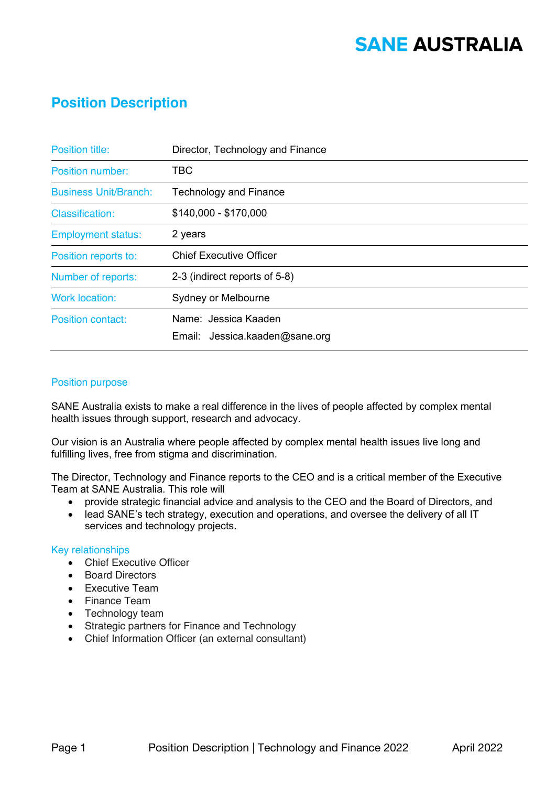## **SANE AUSTRALIA**

### **Position Description**

| <b>Position title:</b>       | Director, Technology and Finance |
|------------------------------|----------------------------------|
| Position number:             | TBC                              |
| <b>Business Unit/Branch:</b> | <b>Technology and Finance</b>    |
| <b>Classification:</b>       | \$140,000 - \$170,000            |
| <b>Employment status:</b>    | 2 years                          |
| Position reports to:         | <b>Chief Executive Officer</b>   |
| Number of reports:           | 2-3 (indirect reports of 5-8)    |
| <b>Work location:</b>        | Sydney or Melbourne              |
| <b>Position contact:</b>     | Name: Jessica Kaaden             |
|                              | Email: Jessica.kaaden@sane.org   |

#### Position purpose

SANE Australia exists to make a real difference in the lives of people affected by complex mental health issues through support, research and advocacy.

Our vision is an Australia where people affected by complex mental health issues live long and fulfilling lives, free from stigma and discrimination.

The Director, Technology and Finance reports to the CEO and is a critical member of the Executive Team at SANE Australia. This role will

- provide strategic financial advice and analysis to the CEO and the Board of Directors, and
- lead SANE's tech strategy, execution and operations, and oversee the delivery of all IT services and technology projects.

#### Key relationships

- Chief Executive Officer
- Board Directors
- Executive Team
- Finance Team
- Technology team
- Strategic partners for Finance and Technology
- Chief Information Officer (an external consultant)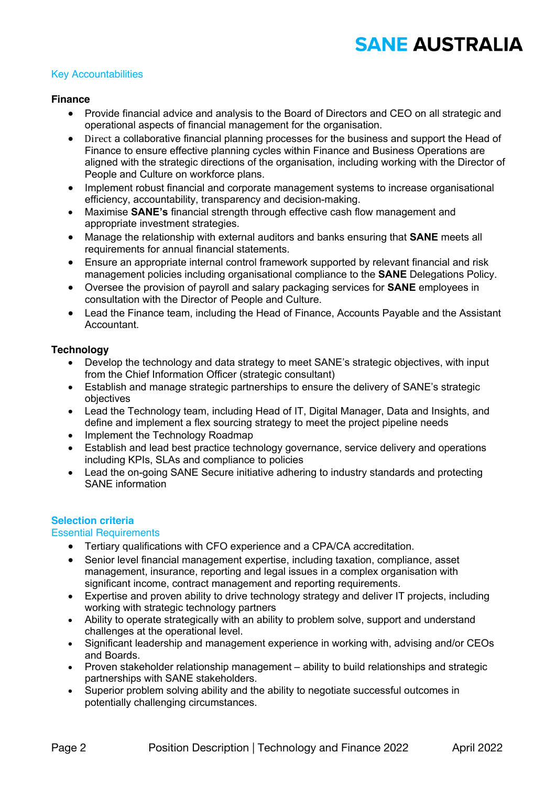# **SANE AUSTRALIA**

#### Key Accountabilities

#### **Finance**

- Provide financial advice and analysis to the Board of Directors and CEO on all strategic and operational aspects of financial management for the organisation.
- Direct a collaborative financial planning processes for the business and support the Head of Finance to ensure effective planning cycles within Finance and Business Operations are aligned with the strategic directions of the organisation, including working with the Director of People and Culture on workforce plans.
- Implement robust financial and corporate management systems to increase organisational efficiency, accountability, transparency and decision-making.
- Maximise **SANE's** financial strength through effective cash flow management and appropriate investment strategies.
- Manage the relationship with external auditors and banks ensuring that **SANE** meets all requirements for annual financial statements.
- Ensure an appropriate internal control framework supported by relevant financial and risk management policies including organisational compliance to the **SANE** Delegations Policy.
- Oversee the provision of payroll and salary packaging services for **SANE** employees in consultation with the Director of People and Culture.
- Lead the Finance team, including the Head of Finance, Accounts Payable and the Assistant Accountant.

#### **Technology**

- Develop the technology and data strategy to meet SANE's strategic objectives, with input from the Chief Information Officer (strategic consultant)
- Establish and manage strategic partnerships to ensure the delivery of SANE's strategic objectives
- Lead the Technology team, including Head of IT, Digital Manager, Data and Insights, and define and implement a flex sourcing strategy to meet the project pipeline needs
- Implement the Technology Roadmap
- Establish and lead best practice technology governance, service delivery and operations including KPIs, SLAs and compliance to policies
- Lead the on-going SANE Secure initiative adhering to industry standards and protecting SANE information

#### **Selection criteria**

#### Essential Requirements

- Tertiary qualifications with CFO experience and a CPA/CA accreditation.
- Senior level financial management expertise, including taxation, compliance, asset management, insurance, reporting and legal issues in a complex organisation with significant income, contract management and reporting requirements.
- Expertise and proven ability to drive technology strategy and deliver IT projects, including working with strategic technology partners
- Ability to operate strategically with an ability to problem solve, support and understand challenges at the operational level.
- Significant leadership and management experience in working with, advising and/or CEOs and Boards.
- Proven stakeholder relationship management ability to build relationships and strategic partnerships with SANE stakeholders.
- Superior problem solving ability and the ability to negotiate successful outcomes in potentially challenging circumstances.